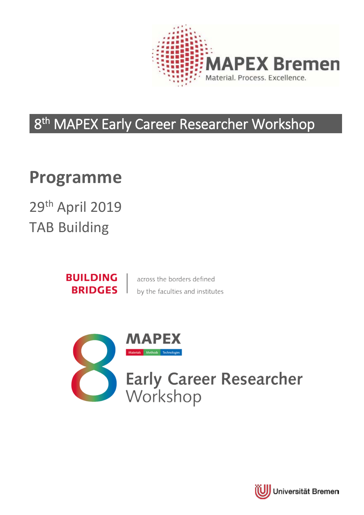

# 8<sup>th</sup> MAPEX Early Career Researcher Workshop

# **Programme**

29th April 2019 TAB Building

> **BUILDING BRIDGES**

across the borders defined by the faculties and institutes



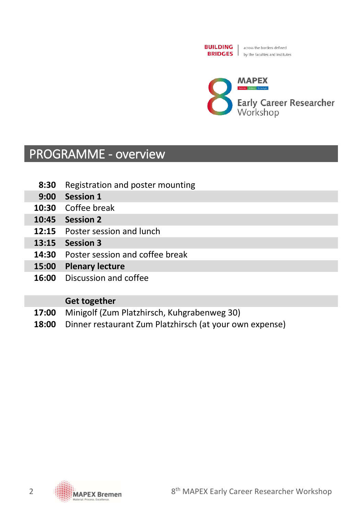



### PROGRAMME - overview

- **8:30** Registration and poster mounting
- **9:00 Session 1**
- **10:30** Coffee break
- **10:45 Session 2**
- **12:15** Poster session and lunch
- **13:15 Session 3**
- **14:30** Poster session and coffee break
- **15:00 Plenary lecture**
- **16:00** Discussion and coffee

#### **Get together**

- **17:00** Minigolf (Zum Platzhirsch, Kuhgrabenweg 30)
- **18:00** Dinner restaurant Zum Platzhirsch (at your own expense)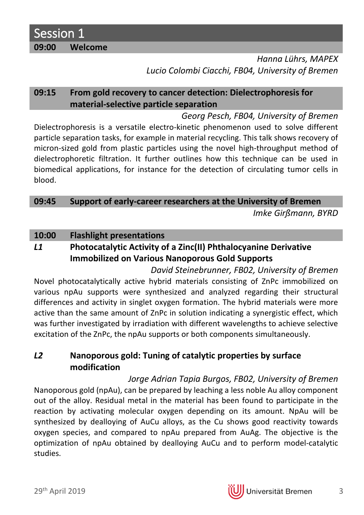Session 1 **09:00 Welcome**

> *Hanna Lührs, MAPEX Lucio Colombi Ciacchi, FB04, University of Bremen*

#### **09:15 From gold recovery to cancer detection: Dielectrophoresis for material-selective particle separation**

*Georg Pesch, FB04, University of Bremen* Dielectrophoresis is a versatile electro-kinetic phenomenon used to solve different particle separation tasks, for example in material recycling. This talk shows recovery of micron-sized gold from plastic particles using the novel high-throughput method of dielectrophoretic filtration. It further outlines how this technique can be used in biomedical applications, for instance for the detection of circulating tumor cells in blood.

#### **09:45 Support of early-career researchers at the University of Bremen**

*Imke Girßmann, BYRD*

#### **10:00 Flashlight presentations**

### *L1* **Photocatalytic Activity of a Zinc(II) Phthalocyanine Derivative Immobilized on Various Nanoporous Gold Supports**

*David Steinebrunner, FB02, University of Bremen* Novel photocatalytically active hybrid materials consisting of ZnPc immobilized on various npAu supports were synthesized and analyzed regarding their structural differences and activity in singlet oxygen formation. The hybrid materials were more active than the same amount of ZnPc in solution indicating a synergistic effect, which was further investigated by irradiation with different wavelengths to achieve selective excitation of the ZnPc, the npAu supports or both components simultaneously.

#### *L2* **Nanoporous gold: Tuning of catalytic properties by surface modification**

*Jorge Adrian Tapia Burgos, FB02, University of Bremen* Nanoporous gold (npAu), can be prepared by leaching a less noble Au alloy component out of the alloy. Residual metal in the material has been found to participate in the reaction by activating molecular oxygen depending on its amount. NpAu will be synthesized by dealloying of AuCu alloys, as the Cu shows good reactivity towards oxygen species, and compared to npAu prepared from AuAg. The objective is the optimization of npAu obtained by dealloying AuCu and to perform model-catalytic studies.

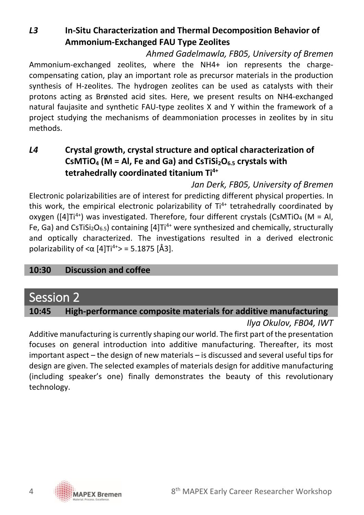*L3* **In-Situ Characterization and Thermal Decomposition Behavior of Ammonium-Exchanged FAU Type Zeolites**

*Ahmed Gadelmawla, FB05, University of Bremen*

Ammonium-exchanged zeolites, where the NH4+ ion represents the chargecompensating cation, play an important role as precursor materials in the production synthesis of H-zeolites. The hydrogen zeolites can be used as catalysts with their protons acting as Brønsted acid sites. Here, we present results on NH4-exchanged natural faujasite and synthetic FAU-type zeolites X and Y within the framework of a project studying the mechanisms of deammoniation processes in zeolites by in situ methods.

#### *L4* **Crystal growth, crystal structure and optical characterization of CsMTiO4 (M = Al, Fe and Ga) and CsTiSi2O6.5 crystals with tetrahedrally coordinated titanium Ti4+**

*Jan Derk, FB05, University of Bremen* Electronic polarizabilities are of interest for predicting different physical properties. In this work, the empirical electronic polarizability of  $Ti<sup>4+</sup>$  tetrahedrally coordinated by oxygen ( $[4]Ti^{4+}$ ) was investigated. Therefore, four different crystals (CsMTiO<sub>4</sub> (M = Al, Fe, Ga) and CsTiSi<sub>2</sub>O<sub>6.5</sub>) containing [4]Ti<sup>4+</sup> were synthesized and chemically, structurally and optically characterized. The investigations resulted in a derived electronic polarizability of  $<$ α [4]Ti<sup>4+</sup>> = 5.1875 [Å3].

#### **10:30 Discussion and coffee**

### Session 2

#### **10:45 High-performance composite materials for additive manufacturing**

#### *Ilya Okulov, FB04, IWT*

Additive manufacturing is currently shaping our world. The first part of the presentation focuses on general introduction into additive manufacturing. Thereafter, its most important aspect – the design of new materials – is discussed and several useful tips for design are given. The selected examples of materials design for additive manufacturing (including speaker's one) finally demonstrates the beauty of this revolutionary technology.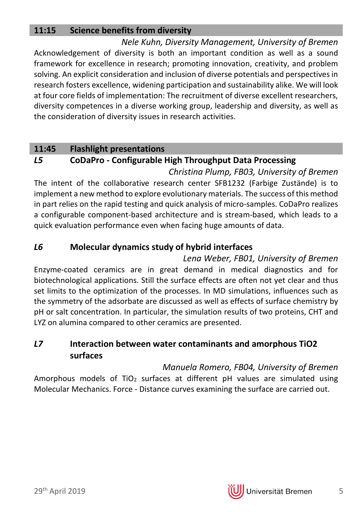#### **11:15 Science benefits from diversity**

*Nele Kuhn, Diversity Management, University of Bremen* Acknowledgement of diversity is both an important condition as well as a sound framework for excellence in research; promoting innovation, creativity, and problem solving. An explicit consideration and inclusion of diverse potentials and perspectives in research fosters excellence, widening participation and sustainability alike. We will look at four core fields of implementation: The recruitment of diverse excellent researchers, diversity competences in a diverse working group, leadership and diversity, as well as the consideration of diversity issues in research activities.

#### **11:45 Flashlight presentations**

#### *L5* **CoDaPro - Configurable High Throughput Data Processing**

*Christina Plump, FB03, University of Bremen* The intent of the collaborative research center SFB1232 (Farbige Zustände) is to implement a new method to explore evolutionary materials. The success of this method in part relies on the rapid testing and quick analysis of micro-samples. CoDaPro realizes a configurable component-based architecture and is stream-based, which leads to a quick evaluation performance even when facing huge amounts of data.

#### *L6* **Molecular dynamics study of hybrid interfaces**

*Lena Weber, FB01, University of Bremen* Enzyme-coated ceramics are in great demand in medical diagnostics and for biotechnological applications. Still the surface effects are often not yet clear and thus set limits to the optimization of the processes. In MD simulations, influences such as the symmetry of the adsorbate are discussed as well as effects of surface chemistry by pH or salt concentration. In particular, the simulation results of two proteins, CHT and LYZ on alumina compared to other ceramics are presented.

#### *L7* **Interaction between water contaminants and amorphous TiO2 surfaces**

*Manuela Romero, FB04, University of Bremen*

Amorphous models of TiO<sub>2</sub> surfaces at different pH values are simulated using Molecular Mechanics. Force - Distance curves examining the surface are carried out.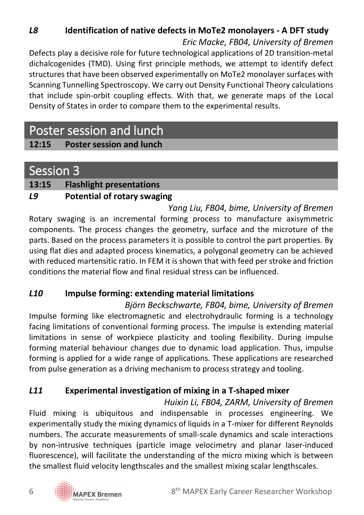### *L8* **Identification of native defects in MoTe2 monolayers - A DFT study** *Eric Macke, FB04, University of Bremen*

Defects play a decisive role for future technological applications of 2D transition-metal dichalcogenides (TMD). Using first principle methods, we attempt to identify defect structures that have been observed experimentally on MoTe2 monolayer surfaces with Scanning Tunnelling Spectroscopy. We carry out Density Functional Theory calculations that include spin-orbit coupling effects. With that, we generate maps of the Local Density of States in order to compare them to the experimental results.

## Poster session and lunch

### **12:15 Poster session and lunch**

### Session 3

#### **13:15 Flashlight presentations**

#### *L9* **Potential of rotary swaging**

*Yang Liu, FB04, bime, University of Bremen* Rotary swaging is an incremental forming process to manufacture axisymmetric components. The process changes the geometry, surface and the microture of the parts. Based on the process parameters it is possible to control the part properties. By using flat dies and adapted process kinematics, a polygonal geometry can be achieved with reduced martensitic ratio. In FEM it is shown that with feed per stroke and friction conditions the material flow and final residual stress can be influenced.

#### *L10* **Impulse forming: extending material limitations**

*Björn Beckschwarte, FB04, bime, University of Bremen* Impulse forming like electromagnetic and electrohydraulic forming is a technology facing limitations of conventional forming process. The impulse is extending material limitations in sense of workpiece plasticity and tooling flexibility. During impulse forming material behaviour changes due to dynamic load application. Thus, impulse forming is applied for a wide range of applications. These applications are researched from pulse generation as a driving mechanism to process strategy and tooling.

#### *L11* **Experimental investigation of mixing in a T-shaped mixer**

*Huixin Li, FB04, ZARM, University of Bremen* Fluid mixing is ubiquitous and indispensable in processes engineering. We experimentally study the mixing dynamics of liquids in a T-mixer for different Reynolds numbers. The accurate measurements of small-scale dynamics and scale interactions by non-intrusive techniques (particle image velocimetry and planar laser-induced fluorescence), will facilitate the understanding of the micro mixing which is between the smallest fluid velocity lengthscales and the smallest mixing scalar lengthscales.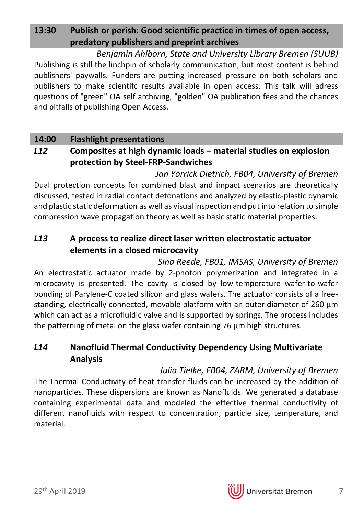### **13:30 Publish or perish: Good scientific practice in times of open access, predatory publishers and preprint archives**

*Benjamin Ahlborn, State and University Library Bremen (SUUB)* Publishing is still the linchpin of scholarly communication, but most content is behind publishers' paywalls. Funders are putting increased pressure on both scholars and publishers to make scientifc results available in open access. This talk will adress questions of "green" OA self archiving, "golden" OA publication fees and the chances and pitfalls of publishing Open Access.

#### **14:00 Flashlight presentations**

#### *L12* **Composites at high dynamic loads – material studies on explosion protection by Steel-FRP-Sandwiches**

*Jan Yorrick Dietrich, FB04, University of Bremen* Dual protection concepts for combined blast and impact scenarios are theoretically discussed, tested in radial contact detonations and analyzed by elastic-plastic dynamic and plastic static deformation as well as visual inspection and put into relation to simple compression wave propagation theory as well as basic static material properties.

#### *L13* **A process to realize direct laser written electrostatic actuator elements in a closed microcavity**

*Sina Reede, FB01, IMSAS, University of Bremen* An electrostatic actuator made by 2-photon polymerization and integrated in a microcavity is presented. The cavity is closed by low-temperature wafer-to-wafer bonding of Parylene-C coated silicon and glass wafers. The actuator consists of a freestanding, electrically connected, movable platform with an outer diameter of 260 µm which can act as a microfluidic valve and is supported by springs. The process includes the patterning of metal on the glass wafer containing 76 um high structures.

#### *L14* **Nanofluid Thermal Conductivity Dependency Using Multivariate Analysis**

*Julia Tielke, FB04, ZARM, University of Bremen*

The Thermal Conductivity of heat transfer fluids can be increased by the addition of nanoparticles. These dispersions are known as Nanofluids. We generated a database containing experimental data and modeled the effective thermal conductivity of different nanofluids with respect to concentration, particle size, temperature, and material.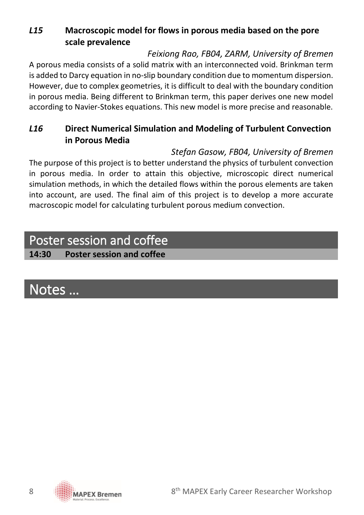### *L15* **Macroscopic model for flows in porous media based on the pore scale prevalence**

#### *Feixiong Rao, FB04, ZARM, University of Bremen*

A porous media consists of a solid matrix with an interconnected void. Brinkman term is added to Darcy equation in no-slip boundary condition due to momentum dispersion. However, due to complex geometries, it is difficult to deal with the boundary condition in porous media. Being different to Brinkman term, this paper derives one new model according to Navier-Stokes equations. This new model is more precise and reasonable.

#### *L16* **Direct Numerical Simulation and Modeling of Turbulent Convection in Porous Media**

#### *Stefan Gasow, FB04, University of Bremen*

The purpose of this project is to better understand the physics of turbulent convection in porous media. In order to attain this objective, microscopic direct numerical simulation methods, in which the detailed flows within the porous elements are taken into account, are used. The final aim of this project is to develop a more accurate macroscopic model for calculating turbulent porous medium convection.

# Poster session and coffee

#### **14:30 Poster session and coffee**

# Notes …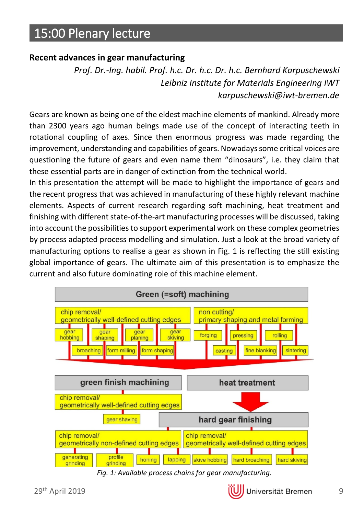# 15:00 Plenary lecture

#### **Recent advances in gear manufacturing**

*Prof. Dr.-Ing. habil. Prof. h.c. Dr. h.c. Dr. h.c. Bernhard Karpuschewski Leibniz Institute for Materials Engineering IWT karpuschewski@iwt-bremen.de*

Gears are known as being one of the eldest machine elements of mankind. Already more than 2300 years ago human beings made use of the concept of interacting teeth in rotational coupling of axes. Since then enormous progress was made regarding the improvement, understanding and capabilities of gears. Nowadays some critical voices are questioning the future of gears and even name them "dinosaurs", i.e. they claim that these essential parts are in danger of extinction from the technical world.

In this presentation the attempt will be made to highlight the importance of gears and the recent progress that was achieved in manufacturing of these highly relevant machine elements. Aspects of current research regarding soft machining, heat treatment and finishing with different state-of-the-art manufacturing processes will be discussed, taking into account the possibilities to support experimental work on these complex geometries by process adapted process modelling and simulation. Just a look at the broad variety of manufacturing options to realise a gear as shown in Fig. 1 is reflecting the still existing global importance of gears. The ultimate aim of this presentation is to emphasize the current and also future dominating role of this machine element.



*Fig. 1: Available process chains for gear manufacturing.*

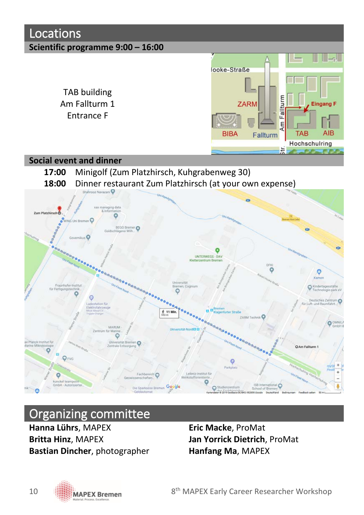

### Organizing committee

**Hanna Lührs**, MAPEX **Eric Macke**, ProMat **Britta Hinz**, MAPEX **Jan Yorrick Dietrich**, ProMat **Bastian Dincher**, photographer **Hanfang Ma**, MAPEX

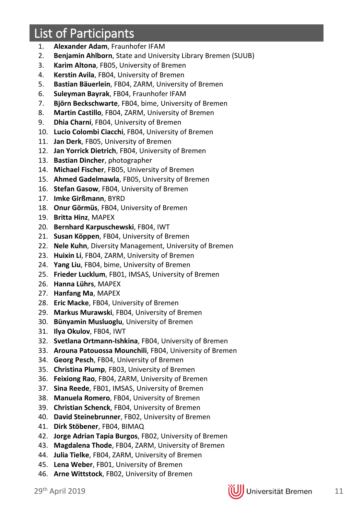# List of Participants

- 1. **Alexander Adam**, Fraunhofer IFAM
- 2. **Benjamin Ahlborn**, State and University Library Bremen (SUUB)
- 3. **Karim Altona**, FB05, University of Bremen
- 4. **Kerstin Avila**, FB04, University of Bremen
- 5. **Bastian Bäuerlein**, FB04, ZARM, University of Bremen
- 6. **Suleyman Bayrak**, FB04, Fraunhofer IFAM
- 7. **Björn Beckschwarte**, FB04, bime, University of Bremen
- 8. **Martin Castillo**, FB04, ZARM, University of Bremen
- 9. **Dhia Charni**, FB04, University of Bremen
- 10. **Lucio Colombi Ciacchi**, FB04, University of Bremen
- 11. **Jan Derk**, FB05, University of Bremen
- 12. **Jan Yorrick Dietrich**, FB04, University of Bremen
- 13. **Bastian Dincher**, photographer
- 14. **Michael Fischer**, FB05, University of Bremen
- 15. **Ahmed Gadelmawla**, FB05, University of Bremen
- 16. **Stefan Gasow**, FB04, University of Bremen
- 17. **Imke Girßmann**, BYRD
- 18. **Onur Görmüs**, FB04, University of Bremen
- 19. **Britta Hinz**, MAPEX
- 20. **Bernhard Karpuschewski**, FB04, IWT
- 21. **Susan Köppen**, FB04, University of Bremen
- 22. **Nele Kuhn**, Diversity Management, University of Bremen
- 23. **Huixin Li**, FB04, ZARM, University of Bremen
- 24. **Yang Liu**, FB04, bime, University of Bremen
- 25. **Frieder Lucklum**, FB01, IMSAS, University of Bremen
- 26. **Hanna Lührs**, MAPEX
- 27. **Hanfang Ma**, MAPEX
- 28. **Eric Macke**, FB04, University of Bremen
- 29. **Markus Murawski**, FB04, University of Bremen
- 30. **Bünyamin Musluoglu**, University of Bremen
- 31. **Ilya Okulov**, FB04, IWT
- 32. **Svetlana Ortmann-Ishkina**, FB04, University of Bremen
- 33. **Arouna Patouossa Mounchili**, FB04, University of Bremen
- 34. **Georg Pesch**, FB04, University of Bremen
- 35. **Christina Plump**, FB03, University of Bremen
- 36. **Feixiong Rao**, FB04, ZARM, University of Bremen
- 37. **Sina Reede**, FB01, IMSAS, University of Bremen
- 38. **Manuela Romero**, FB04, University of Bremen
- 39. **Christian Schenck**, FB04, University of Bremen
- 40. **David Steinebrunner**, FB02, University of Bremen
- 41. **Dirk Stöbener**, FB04, BIMAQ
- 42. **Jorge Adrian Tapia Burgos**, FB02, University of Bremen
- 43. **Magdalena Thode**, FB04, ZARM, University of Bremen
- 44. **Julia Tielke**, FB04, ZARM, University of Bremen
- 45. **Lena Weber**, FB01, University of Bremen
- 46. **Arne Wittstock**, FB02, University of Bremen